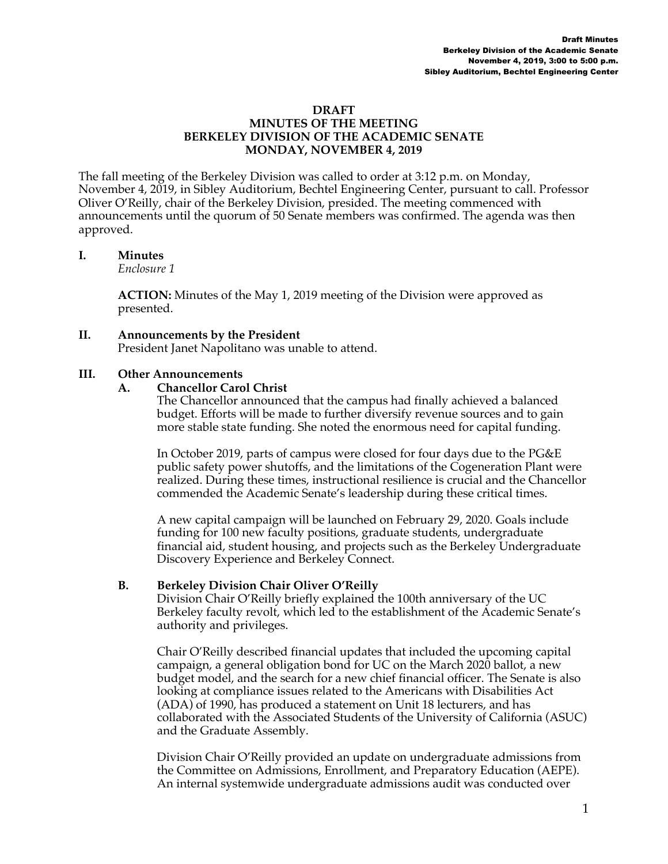#### **DRAFT MINUTES OF THE MEETING BERKELEY DIVISION OF THE ACADEMIC SENATE MONDAY, NOVEMBER 4, 2019**

The fall meeting of the Berkeley Division was called to order at 3:12 p.m. on Monday, November 4, 2019, in Sibley Auditorium, Bechtel Engineering Center, pursuant to call. Professor Oliver O'Reilly, chair of the Berkeley Division, presided. The meeting commenced with announcements until the quorum of 50 Senate members was confirmed. The agenda was then approved.

### **I. Minutes**

*Enclosure 1*

**ACTION:** Minutes of the May 1, 2019 meeting of the Division were approved as presented.

#### **II. Announcements by the President**

President Janet Napolitano was unable to attend.

### **III. Other Announcements**

#### **A. Chancellor Carol Christ**

The Chancellor announced that the campus had finally achieved a balanced budget. Efforts will be made to further diversify revenue sources and to gain more stable state funding. She noted the enormous need for capital funding.

In October 2019, parts of campus were closed for four days due to the PG&E public safety power shutoffs, and the limitations of the Cogeneration Plant were realized. During these times, instructional resilience is crucial and the Chancellor commended the Academic Senate's leadership during these critical times.

A new capital campaign will be launched on February 29, 2020. Goals include funding for 100 new faculty positions, graduate students, undergraduate financial aid, student housing, and projects such as the Berkeley Undergraduate Discovery Experience and Berkeley Connect.

### **B. Berkeley Division Chair Oliver O'Reilly**

Division Chair O'Reilly briefly explained the 100th anniversary of the UC Berkeley faculty revolt, which led to the establishment of the Academic Senate's authority and privileges.

Chair O'Reilly described financial updates that included the upcoming capital campaign, a general obligation bond for UC on the March 2020 ballot, a new budget model, and the search for a new chief financial officer. The Senate is also looking at compliance issues related to the Americans with Disabilities Act (ADA) of 1990, has produced a statement on Unit 18 lecturers, and has collaborated with the Associated Students of the University of California (ASUC) and the Graduate Assembly.

Division Chair O'Reilly provided an update on undergraduate admissions from the Committee on Admissions, Enrollment, and Preparatory Education (AEPE). An internal systemwide undergraduate admissions audit was conducted over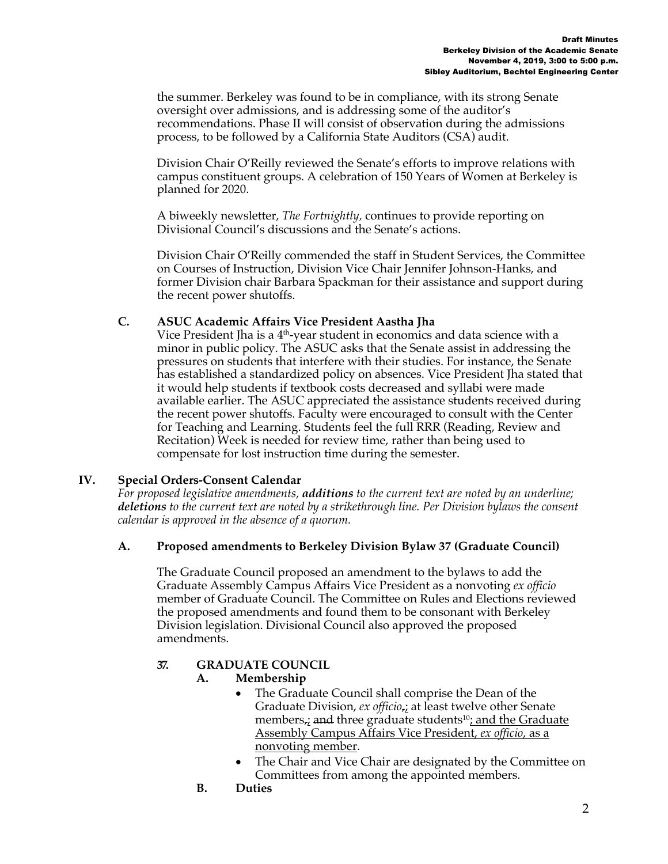the summer. Berkeley was found to be in compliance, with its strong Senate oversight over admissions, and is addressing some of the auditor's recommendations. Phase II will consist of observation during the admissions process, to be followed by a California State Auditors (CSA) audit.

Division Chair O'Reilly reviewed the Senate's efforts to improve relations with campus constituent groups. A celebration of 150 Years of Women at Berkeley is planned for 2020.

A biweekly newsletter, *The Fortnightly,* continues to provide reporting on Divisional Council's discussions and the Senate's actions.

Division Chair O'Reilly commended the staff in Student Services, the Committee on Courses of Instruction, Division Vice Chair Jennifer Johnson-Hanks, and former Division chair Barbara Spackman for their assistance and support during the recent power shutoffs.

## **C. ASUC Academic Affairs Vice President Aastha Jha**

Vice President Jha is a  $4<sup>th</sup>$ -year student in economics and data science with a minor in public policy. The ASUC asks that the Senate assist in addressing the pressures on students that interfere with their studies. For instance, the Senate has established a standardized policy on absences. Vice President Jha stated that it would help students if textbook costs decreased and syllabi were made available earlier. The ASUC appreciated the assistance students received during the recent power shutoffs. Faculty were encouraged to consult with the Center for Teaching and Learning. Students feel the full RRR (Reading, Review and Recitation) Week is needed for review time, rather than being used to compensate for lost instruction time during the semester.

# **IV. Special Orders-Consent Calendar**

*For proposed legislative amendments, additions to the current text are noted by an underline; deletions to the current text are noted by a strikethrough line. Per Division bylaws the consent calendar is approved in the absence of a quorum.*

### **A. Proposed amendments to Berkeley Division Bylaw 37 (Graduate Council)**

The Graduate Council proposed an amendment to the bylaws to add the Graduate Assembly Campus Affairs Vice President as a nonvoting *ex officio* member of Graduate Council. The Committee on Rules and Elections reviewed the proposed amendments and found them to be consonant with Berkeley Division legislation. Divisional Council also approved the proposed amendments.

# **37. GRADUATE COUNCIL**

### **A. Membership**

- The Graduate Council shall comprise the Dean of the Graduate Division, *ex officio*,; at least twelve other Senate members<sub> $\vec{r}$ </sub> and three graduate students<sup>10</sup>; and the Graduate Assembly Campus Affairs Vice President, *ex officio*, as a nonvoting member.
- The Chair and Vice Chair are designated by the Committee on Committees from among the appointed members.
- **B. Duties**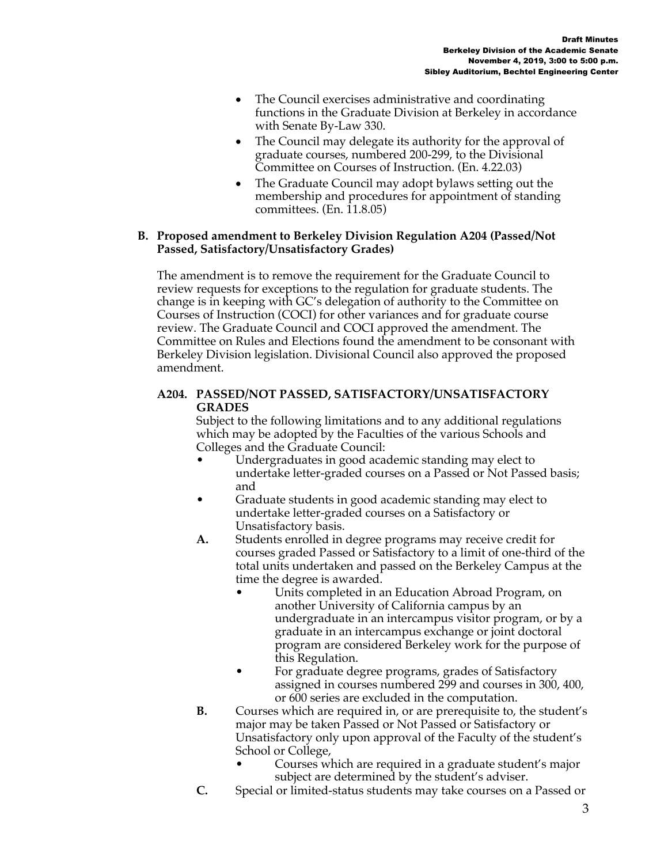- The Council exercises administrative and coordinating functions in the Graduate Division at Berkeley in accordance with Senate By-Law 330.
- The Council may delegate its authority for the approval of graduate courses, numbered 200-299, to the Divisional Committee on Courses of Instruction. (En. 4.22.03)
- The Graduate Council may adopt bylaws setting out the membership and procedures for appointment of standing committees. (En. 11.8.05)

## **B. Proposed amendment to Berkeley Division Regulation A204 (Passed/Not Passed, Satisfactory/Unsatisfactory Grades)**

The amendment is to remove the requirement for the Graduate Council to review requests for exceptions to the regulation for graduate students. The change is in keeping with GC's delegation of authority to the Committee on Courses of Instruction (COCI) for other variances and for graduate course review. The Graduate Council and COCI approved the amendment. The Committee on Rules and Elections found the amendment to be consonant with Berkeley Division legislation. Divisional Council also approved the proposed amendment.

## **A204. PASSED/NOT PASSED, SATISFACTORY/UNSATISFACTORY GRADES**

Subject to the following limitations and to any additional regulations which may be adopted by the Faculties of the various Schools and Colleges and the Graduate Council:

- Undergraduates in good academic standing may elect to undertake letter-graded courses on a Passed or Not Passed basis; and
- Graduate students in good academic standing may elect to undertake letter-graded courses on a Satisfactory or Unsatisfactory basis.
- **A.** Students enrolled in degree programs may receive credit for courses graded Passed or Satisfactory to a limit of one-third of the total units undertaken and passed on the Berkeley Campus at the time the degree is awarded.
	- Units completed in an Education Abroad Program, on another University of California campus by an undergraduate in an intercampus visitor program, or by a graduate in an intercampus exchange or joint doctoral program are considered Berkeley work for the purpose of this Regulation.
	- For graduate degree programs, grades of Satisfactory assigned in courses numbered 299 and courses in 300, 400, or 600 series are excluded in the computation.
- **B.** Courses which are required in, or are prerequisite to, the student's major may be taken Passed or Not Passed or Satisfactory or Unsatisfactory only upon approval of the Faculty of the student's School or College,
	- Courses which are required in a graduate student's major subject are determined by the student's adviser.
- **C.** Special or limited-status students may take courses on a Passed or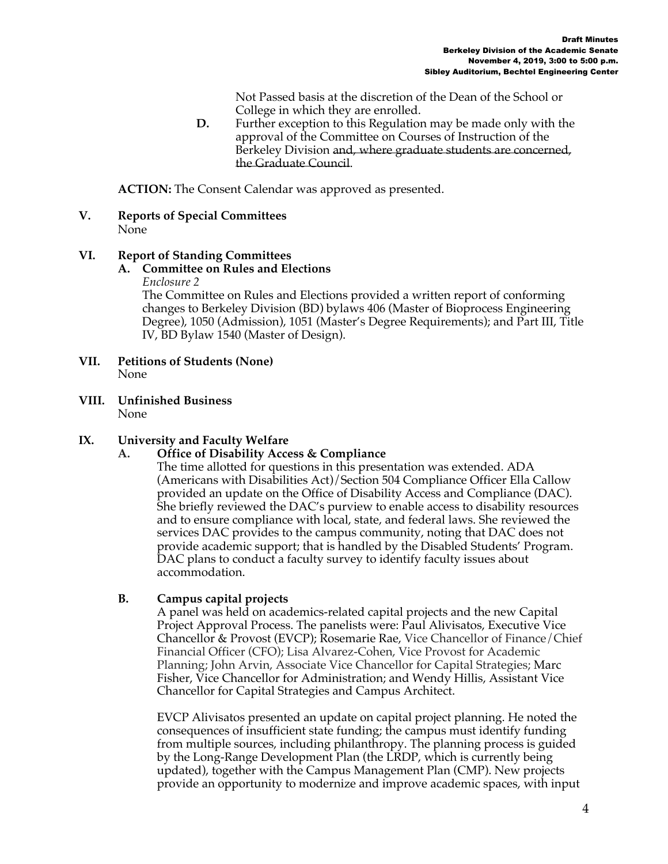Not Passed basis at the discretion of the Dean of the School or College in which they are enrolled.

**D.** Further exception to this Regulation may be made only with the approval of the Committee on Courses of Instruction of the Berkeley Division and, where graduate students are concerned, the Graduate Council.

**ACTION:** The Consent Calendar was approved as presented.

**V. Reports of Special Committees** None

### **VI. Report of Standing Committees**

#### **A. Committee on Rules and Elections** *Enclosure 2*

The Committee on Rules and Elections provided a written report of conforming changes to Berkeley Division (BD) bylaws 406 (Master of Bioprocess Engineering Degree), 1050 (Admission), 1051 (Master's Degree Requirements); and Part III, Title IV, BD Bylaw 1540 (Master of Design).

- **VII. Petitions of Students (None)**  None
- **VIII. Unfinished Business** None

### **IX. University and Faculty Welfare**

#### **A. Office of Disability Access & Compliance**

The time allotted for questions in this presentation was extended. ADA (Americans with Disabilities Act)/Section 504 Compliance Officer Ella Callow provided an update on the Office of Disability Access and Compliance (DAC). She briefly reviewed the DAC's purview to enable access to disability resources and to ensure compliance with local, state, and federal laws. She reviewed the services DAC provides to the campus community, noting that DAC does not provide academic support; that is handled by the Disabled Students' Program. DAC plans to conduct a faculty survey to identify faculty issues about accommodation.

#### **B. Campus capital projects**

A panel was held on academics-related capital projects and the new Capital Project Approval Process. The panelists were: Paul Alivisatos, Executive Vice Chancellor & Provost (EVCP); Rosemarie Rae, Vice Chancellor of Finance/Chief Financial Officer (CFO); Lisa Alvarez-Cohen, Vice Provost for Academic Planning; John Arvin, Associate Vice Chancellor for Capital Strategies; Marc Fisher, Vice Chancellor for Administration; and Wendy Hillis, Assistant Vice Chancellor for Capital Strategies and Campus Architect.

EVCP Alivisatos presented an update on capital project planning. He noted the consequences of insufficient state funding; the campus must identify funding from multiple sources, including philanthropy. The planning process is guided by the Long-Range Development Plan (the LRDP, which is currently being updated), together with the Campus Management Plan (CMP). New projects provide an opportunity to modernize and improve academic spaces, with input